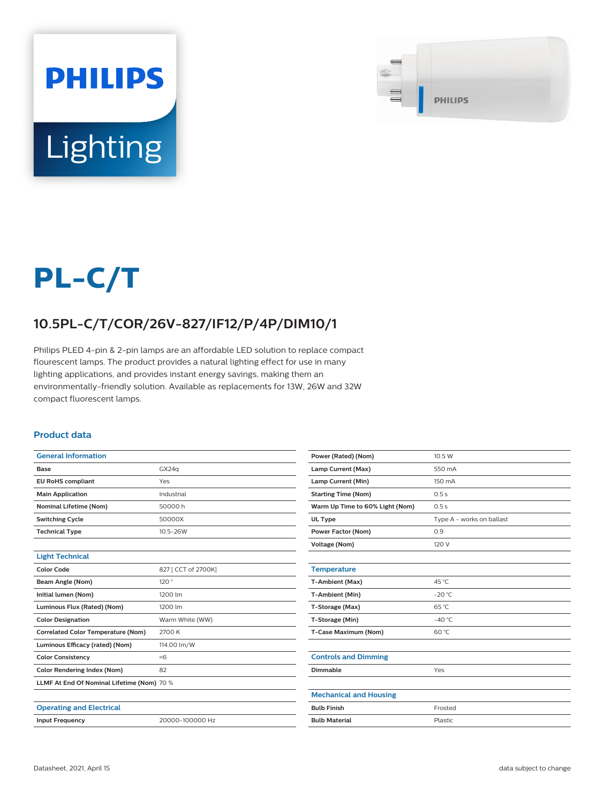



# **PL-C/T**

## **10.5PL-C/T/COR/26V-827/IF12/P/4P/DIM10/1**

Philips PLED 4-pin & 2-pin lamps are an affordable LED solution to replace compact flourescent lamps. The product provides a natural lighting effect for use in many lighting applications, and provides instant energy savings, making them an environmentally-friendly solution. Available as replacements for 13W, 26W and 32W compact fluorescent lamps.

#### **Product data**

| <b>General Information</b>                 |                     | Power (Rated) (Nom)             | 10.5 W                    |  |  |
|--------------------------------------------|---------------------|---------------------------------|---------------------------|--|--|
| <b>Base</b>                                | GX24q               | Lamp Current (Max)              | 550 mA                    |  |  |
| <b>EU RoHS compliant</b>                   | Yes                 | Lamp Current (Min)              | 150 mA                    |  |  |
| <b>Main Application</b>                    | Industrial          | <b>Starting Time (Nom)</b>      | 0.5s                      |  |  |
| <b>Nominal Lifetime (Nom)</b>              | 50000h              | Warm Up Time to 60% Light (Nom) | 0.5s                      |  |  |
| <b>Switching Cycle</b>                     | 50000X              | UL Type                         | Type A - works on ballast |  |  |
| <b>Technical Type</b>                      | 10.5-26W            | Power Factor (Nom)              | 0.9                       |  |  |
|                                            |                     | Voltage (Nom)                   | 120 V                     |  |  |
| <b>Light Technical</b>                     |                     |                                 |                           |  |  |
| <b>Color Code</b>                          | 827 [ CCT of 2700K] | <b>Temperature</b>              |                           |  |  |
| Beam Angle (Nom)                           | 120°                | T-Ambient (Max)                 | 45 °C                     |  |  |
| Initial lumen (Nom)                        | 1200 lm             | T-Ambient (Min)                 | $-20 °C$                  |  |  |
| Luminous Flux (Rated) (Nom)                | 1200 lm             | T-Storage (Max)                 | 65 °C                     |  |  |
| <b>Color Designation</b>                   | Warm White (WW)     | T-Storage (Min)                 | $-40 °C$                  |  |  |
| <b>Correlated Color Temperature (Nom)</b>  | 2700 K              | <b>T-Case Maximum (Nom)</b>     | 60 °C                     |  |  |
| Luminous Efficacy (rated) (Nom)            | 114.00 lm/W         |                                 |                           |  |  |
| <b>Color Consistency</b>                   | < 6                 | <b>Controls and Dimming</b>     |                           |  |  |
| <b>Color Rendering Index (Nom)</b>         | 82                  | Dimmable                        | Yes                       |  |  |
| LLMF At End Of Nominal Lifetime (Nom) 70 % |                     |                                 |                           |  |  |
|                                            |                     | <b>Mechanical and Housing</b>   |                           |  |  |
| <b>Operating and Electrical</b>            |                     | <b>Bulb Finish</b>              | Frosted                   |  |  |
| <b>Input Frequency</b>                     | 20000-100000 Hz     | <b>Bulb Material</b>            | Plastic                   |  |  |
|                                            |                     |                                 |                           |  |  |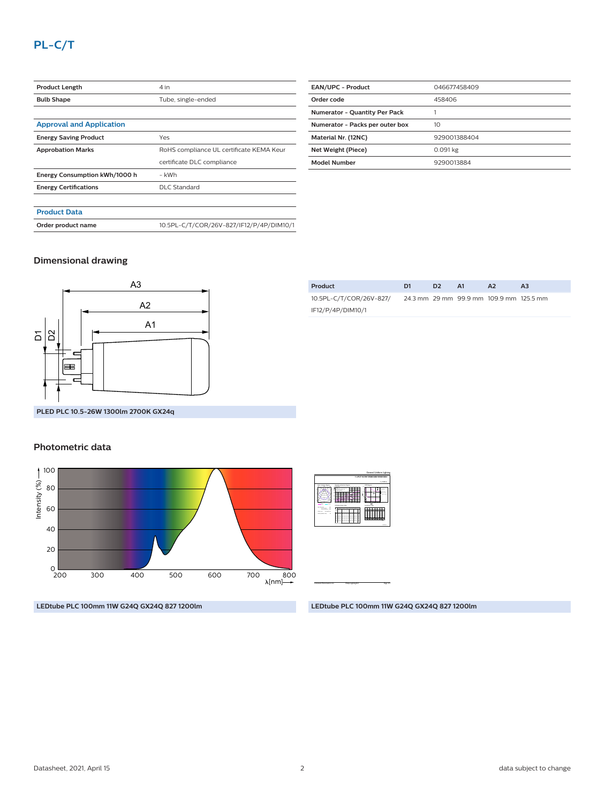| <b>Product Length</b>           | 4 in                                     |  |  |  |
|---------------------------------|------------------------------------------|--|--|--|
| <b>Bulb Shape</b>               | Tube, single-ended                       |  |  |  |
|                                 |                                          |  |  |  |
| <b>Approval and Application</b> |                                          |  |  |  |
| <b>Energy Saving Product</b>    | Yes                                      |  |  |  |
| <b>Approbation Marks</b>        | RoHS compliance UL certificate KEMA Keur |  |  |  |
|                                 | certificate DLC compliance               |  |  |  |
| Energy Consumption kWh/1000 h   | - kWh                                    |  |  |  |
| <b>Energy Certifications</b>    | <b>DLC Standard</b>                      |  |  |  |
|                                 |                                          |  |  |  |
| <b>Product Data</b>             |                                          |  |  |  |
| Order product name              | 10.5PL-C/T/COR/26V-827/IF12/P/4P/DIM10/1 |  |  |  |

| <b>EAN/UPC - Product</b>             | 046677458409 |  |  |
|--------------------------------------|--------------|--|--|
| Order code                           | 458406       |  |  |
| <b>Numerator - Quantity Per Pack</b> |              |  |  |
| Numerator - Packs per outer box      | 10           |  |  |
| Material Nr. (12NC)                  | 929001388404 |  |  |
| Net Weight (Piece)                   | 0.091 kg     |  |  |
| <b>Model Number</b>                  | 9290013884   |  |  |
|                                      |              |  |  |

## **Dimensional drawing**



| 10.5PL-C/T/COR/26V-827/ |  | 24.3 mm 29 mm 99.9 mm 109.9 mm 125.5 mm |  |
|-------------------------|--|-----------------------------------------|--|
| IF12/P/4P/DIM10/1       |  |                                         |  |
|                         |  |                                         |  |

**Product D1 D2 A1 A2 A3**

## **Photometric data**



**LEDtube PLC 100mm 11W G24Q GX24Q 827 1200lm**

2017-04-11  **1 x PLT 10.5W 2700K120D 9290013884** 1 x 1200 lm Light output ratio 1.00 Service downward 0.85 Polar intensity diagram **200** Utilisation factor table Room Index k  $\overline{\phantom{a}}$  $-1$  $-1$  $-1$ 0.10  $-1$ 0.50 0.57 0.630.68 0.76  $-81.81$  $-1$  $-89.89$ 0.92 0.70  $-1$ 0.10  $-1$ 0.40 0.47 0.540.59 0.67 0.73 0.77 0.82  $-1$ 0.38 0.81  $-1$  $-1$  $-1$  $-1$  $-33$  $-1$ 0.460.51  $-1$  $-1$  $-1$  $-1$  $\overline{\phantom{a}}$  $-1$  $-3$  $-3$ 0.440.49  $-1$  $-1$  $-1$  $\sim$  $-1$ 0.00 0.00  $-1$ 0.22  $-28$ 0.34 0.400.44 0.52 0.57 0.60  $-1$  $-1$ Quantity estimation diagram nr. of luminaires 0 20 40 60 80 <del>. . . . . . . . . . . .</del> 300 lx 500 lx 750 lx Ceiling mounted UGR diagram 4.0  $\overline{\phantom{a}}$ 8.0 12.0 16.0 m  $\mathbf{x}$ Y <sup>h</sup>room: 2.8 m Refl: 0.70 0.50 0.20 Ceiling mounted : viewed endwise  $\cdot$  -  $\cdot$ 28 25 28 31 E . . Luminance Table 0.0 15.0 30.0 45.0 60.0 75.0 90.0 45.0 50.0 60.0 65.0 75.0 80.0 90.0 Plane Cone37742 <sup>12103</sup> 22 <sup>23167</sup> <sup>19706</sup> <sup>17876</sup> <sup>14114</sup> <sup>12137</sup> <sup>9935</sup> <sup>23495</sup> <sup>21766</sup> <sup>18268</sup> <sup>16467</sup> <sup>12746</sup> <sup>10873</sup> <sup>8656</sup> <sup>23246</sup> <sup>21450</sup> <sup>19656</sup> <sup>17844</sup> <sup>16026</sup> <sup>14092</sup> <sup>12145</sup> <sup>8481</sup> <sup>7766</sup>

General Uniform Lighting

**LEDtube PLC 100mm 11W G24Q GX24Q 827 1200lm**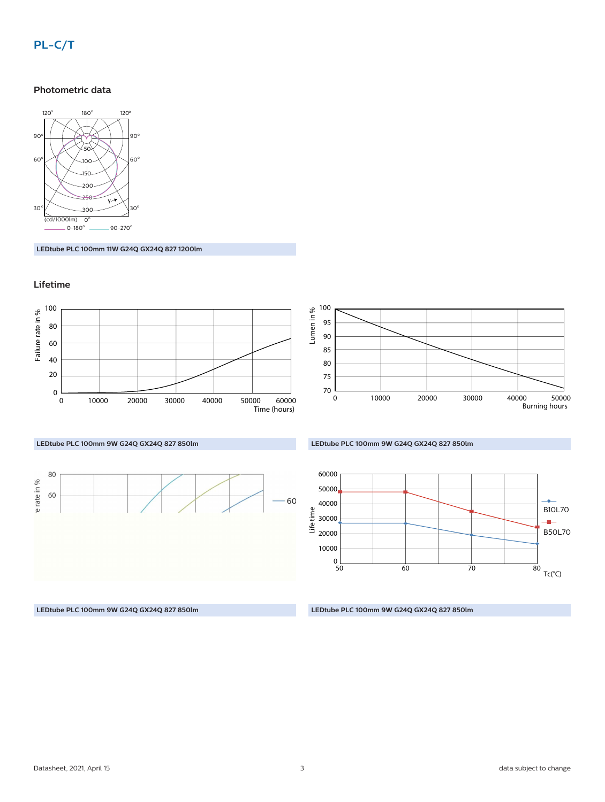## **PL-C/T**

#### **Photometric data**



**LEDtube PLC 100mm 11W G24Q GX24Q 827 1200lm**

## **Lifetime**



**LEDtube PLC 100mm 9W G24Q GX24Q 827 850lm**

**LEDtube PLC 100mm 9W G24Q GX24Q 827 850lm**